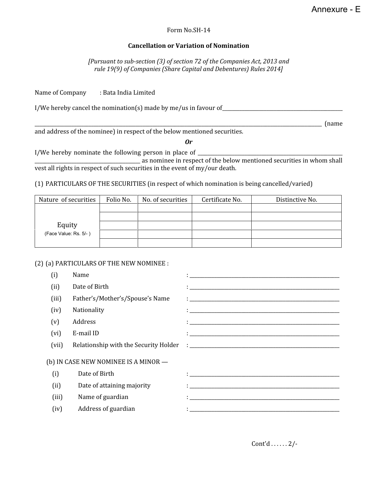## Form No.SH-14

## **Cancellation or Variation of Nomination**

*[Pursuant to sub-section (3) of section 72 of the Companies Act, 2013 and rule 19(9) of Companies (Share Capital and Debentures) Rules 2014]*

Name of Company : Bata India Limited

I/We hereby cancel the nomination(s) made by me/us in favour of\_\_\_\_\_\_\_\_\_\_\_\_\_\_\_\_\_\_\_\_\_\_\_\_\_\_\_\_\_\_\_\_\_\_\_\_\_\_\_\_\_\_\_\_\_\_\_\_\_

\_\_\_\_\_\_\_\_\_\_\_\_\_\_\_\_\_\_\_\_\_\_\_\_\_\_\_\_\_\_\_\_\_\_\_\_\_\_\_\_\_\_\_\_\_\_\_\_\_\_\_\_\_\_\_\_\_\_\_\_\_\_\_\_\_\_\_\_\_\_\_\_\_\_\_\_\_\_\_\_\_\_\_\_\_\_\_\_\_\_\_\_\_\_\_\_\_\_\_\_\_\_\_\_\_\_\_\_\_\_\_\_\_\_\_\_\_ (name

and address of the nominee) in respect of the below mentioned securities.

## *Or*

I/We hereby nominate the following person in place of \_\_\_\_\_\_\_\_\_\_\_\_\_\_\_\_\_\_\_\_\_\_\_\_\_\_

\_\_\_\_\_\_\_\_\_\_\_\_\_\_\_\_\_\_\_\_\_\_\_\_\_\_\_\_\_\_\_\_\_\_\_\_\_\_\_\_\_\_\_ as nominee in respect of the below mentioned securities in whom shall vest all rights in respect of such securities in the event of my/our death.

(1) PARTICULARS OF THE SECURITIES (in respect of which nomination is being cancelled/varied)

| Nature of securities  | Folio No. | No. of securities | Certificate No. | Distinctive No. |
|-----------------------|-----------|-------------------|-----------------|-----------------|
|                       |           |                   |                 |                 |
|                       |           |                   |                 |                 |
| Equity                |           |                   |                 |                 |
| (Face Value: Rs. 5/-) |           |                   |                 |                 |
|                       |           |                   |                 |                 |

## (2) (a) PARTICULARS OF THE NEW NOMINEE :

| (i)   | Name                                  |                                                                                                                         |
|-------|---------------------------------------|-------------------------------------------------------------------------------------------------------------------------|
| (ii)  | Date of Birth                         |                                                                                                                         |
| (iii) | Father's/Mother's/Spouse's Name       |                                                                                                                         |
| (iv)  | Nationality                           |                                                                                                                         |
| (v)   | Address                               |                                                                                                                         |
| (vi)  | E-mail ID                             |                                                                                                                         |
| (vii) | Relationship with the Security Holder |                                                                                                                         |
|       | (b) IN CASE NEW NOMINEE IS A MINOR -  |                                                                                                                         |
| (i)   | Date of Birth                         | the contract of the contract of the contract of the contract of the contract of the contract of the contract of         |
| (ii)  | Date of attaining majority            |                                                                                                                         |
| (iii) | Name of guardian                      | <u> 1 - Januar - John Barnett, mars and de la proposition of the second control of the second control of the second</u> |
| (iv)  | Address of guardian                   |                                                                                                                         |

Cont'd . . . . . . 2/-